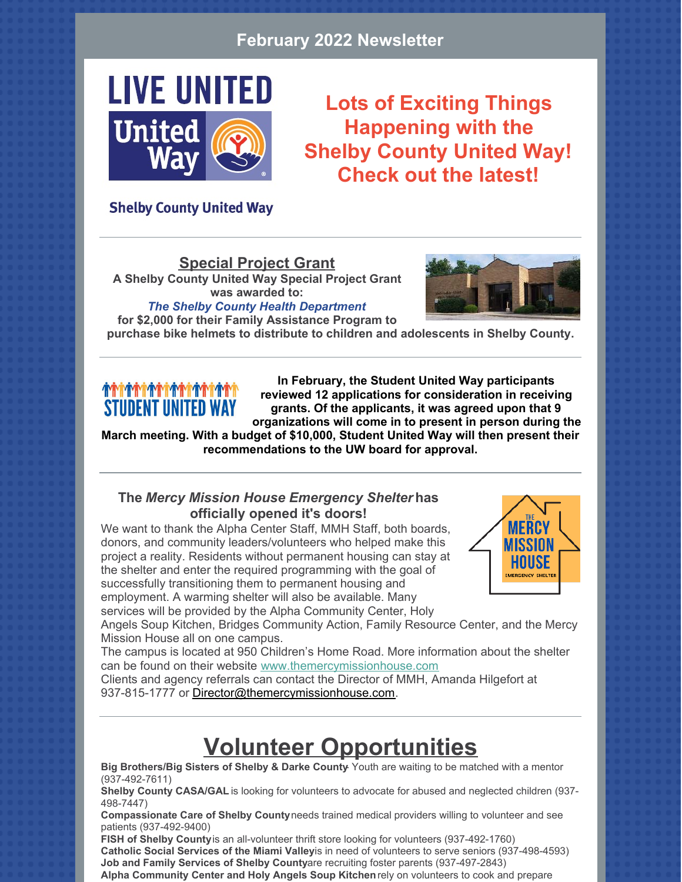#### **February 2022 Newsletter**



**Lots of Exciting Things Happening with the Shelby County United Way! Check out the latest!**

#### **Shelby County United Way**

#### **Special Project Grant**

**A Shelby County United Way Special Project Grant was awarded to:**



*The Shelby County Health Department* **for \$2,000 for their Family Assistance Program to**

**purchase bike helmets to distribute to children and adolescents in Shelby County.**

## **STUDENT UNITED WAY**

**In February, the Student United Way participants reviewed 12 applications for consideration in receiving grants. Of the applicants, it was agreed upon that 9 organizations will come in to present in person during the**

**March meeting. With a budget of \$10,000, Student United Way will then present their recommendations to the UW board for approval.**

#### **The** *Mercy Mission House Emergency Shelter* **has officially opened it's doors!**

We want to thank the Alpha Center Staff, MMH Staff, both boards, donors, and community leaders/volunteers who helped make this project a reality. Residents without permanent housing can stay at the shelter and enter the required programming with the goal of successfully transitioning them to permanent housing and employment. A warming shelter will also be available. Many services will be provided by the Alpha Community Center, Holy



Angels Soup Kitchen, Bridges Community Action, Family Resource Center, and the Mercy Mission House all on one campus.

The campus is located at 950 Children's Home Road. More information about the shelter can be found on their website [www.themercymissionhouse.com](https://www.themercymissionhouse.com/)

Clients and agency referrals can contact the Director of MMH, Amanda Hilgefort at 937-815-1777 or [Director@themercymissionhouse.com](mailto:director@themercymissionhouse.com).

## **Volunteer Opportunities**

**Big Brothers/Big Sisters of Shelby & Darke County**- Youth are waiting to be matched with a mentor (937-492-7611)

**Shelby County CASA/GAL** is looking for volunteers to advocate for abused and neglected children (937- 498-7447)

**Compassionate Care of Shelby County** needs trained medical providers willing to volunteer and see patients (937-492-9400)

**FISH of Shelby County** is an all-volunteer thrift store looking for volunteers (937-492-1760) Catholic Social Services of the Miami Valleyis in need of volunteers to serve seniors (937-498-4593) **Job and Family Services of Shelby County** are recruiting foster parents (937-497-2843) **Alpha Community Center and Holy Angels Soup Kitchen** rely on volunteers to cook and prepare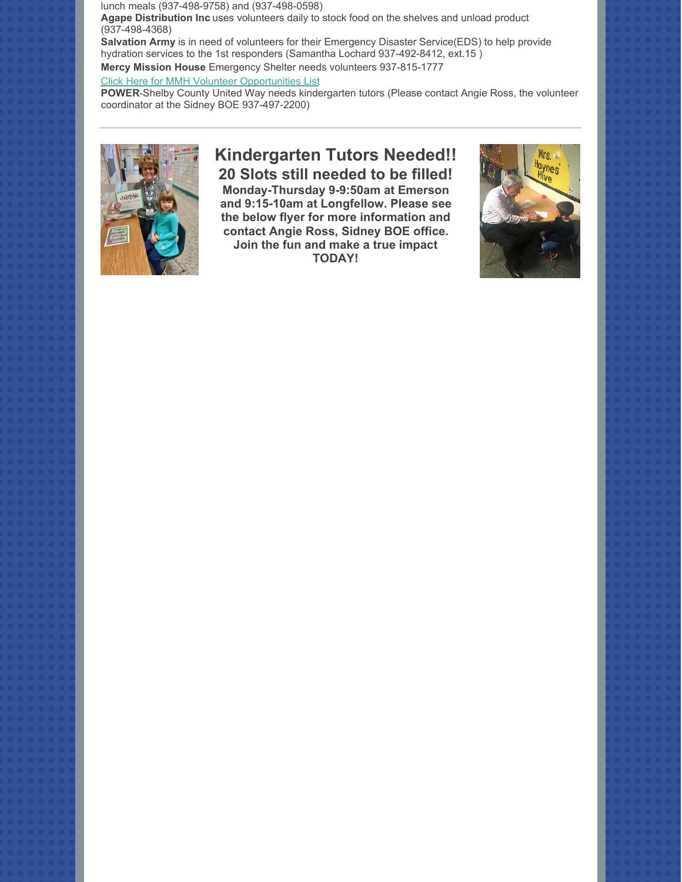lunch meals (937-498-9758) and (937-498-0598) **Agape Distribution Inc** uses volunteers daily to stock food on the shelves and unload product (937-498-4368)

**Salvation Army** is in need of volunteers for their Emergency Disaster Service(EDS) to help provide hydration services to the 1st responders (Samantha Lochard 937-492-8412, ext.15 ) **Mercy Mission House** Emergency Shelter needs volunteers 937-815-1777

#### [Click Here for MMH Volunteer Opportunities List](https://files.constantcontact.com/4a814c7e501/6909b815-8633-44d5-b5bb-0be6a369f729.pdf)

**POWER**-Shelby County United Way needs kindergarten tutors (Please contact Angie Ross, the volunteer coordinator at the Sidney BOE 937-497-2200)



### **Kindergarten Tutors Needed!! 20 Slots still needed to be filled!**

**Monday-Thursday 9-9:50am at Emerson and 9:15-10am at Longfellow. Please see the below flyer for more information and contact Angie Ross, Sidney BOE office. Join the fun and make a true impact TODAY!**

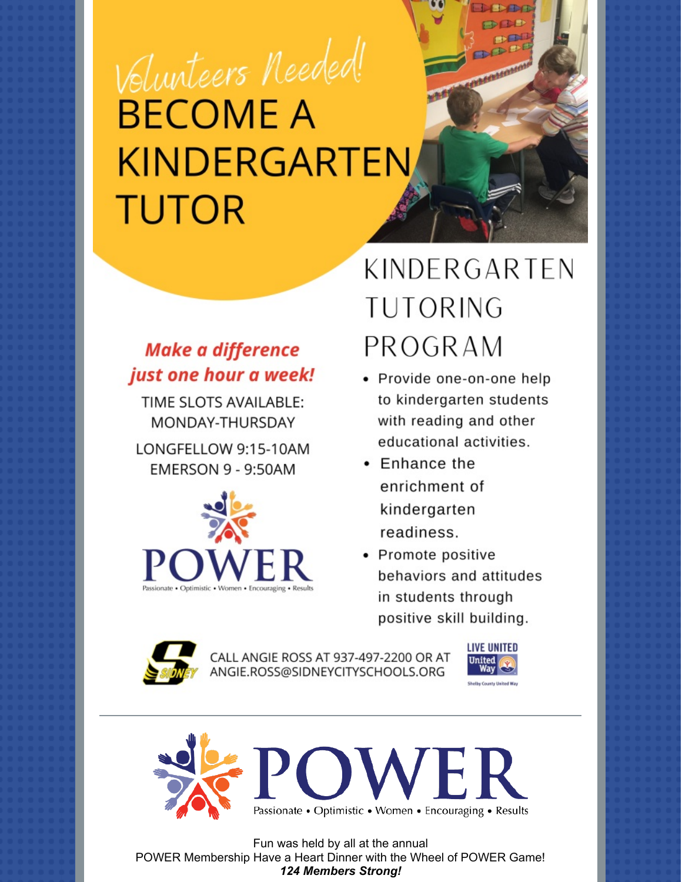# Volunteers Needed! **BECOME A KINDERGARTEN TUTOR**

## **Make a difference** just one hour a week!

TIME SLOTS AVAILABLE: MONDAY-THURSDAY

LONGFELLOW 9:15-10AM **EMERSON 9 - 9:50AM** 



## KINDERGARTEN **TUTORING** PROGRAM

- Provide one-on-one help to kindergarten students with reading and other educational activities.
- Enhance the enrichment of kindergarten readiness.
- Promote positive behaviors and attitudes in students through positive skill building.



CALL ANGIE ROSS AT 937-497-2200 OR AT ANGIE.ROSS@SIDNEYCITYSCHOOLS.ORG





Fun was held by all at the annual POWER Membership Have a Heart Dinner with the Wheel of POWER Game! **124 Members Strong!**